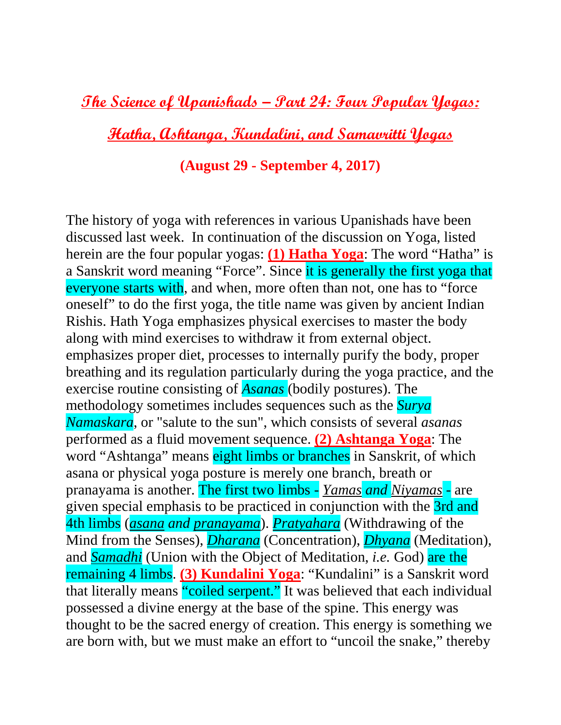**The Science of Upanishads – Part 24: Four Popular Yogas:** 

**Hatha, Ashtanga, Kundalini, and Samavritti Yogas**

## **(August 29 - September 4, 2017)**

The history of yoga with references in various Upanishads have been discussed last week. In continuation of the discussion on Yoga, listed herein are the four popular yogas: **(1) Hatha Yoga**: The word "Hatha" is a Sanskrit word meaning "Force". Since it is generally the first yoga that everyone starts with, and when, more often than not, one has to "force oneself" to do the first yoga, the title name was given by ancient Indian Rishis. Hath Yoga emphasizes physical exercises to master the body along with mind exercises to withdraw it from external object. emphasizes proper diet, processes to internally purify the body, proper breathing and its regulation particularly during the yoga practice, and the exercise routine consisting of *Asanas* (bodily postures). The methodology sometimes includes sequences such as the *Surya Namaskara*, or "salute to the sun", which consists of several *asanas* performed as a fluid movement sequence. **(2) Ashtanga Yoga**: The word "Ashtanga" means eight limbs or branches in Sanskrit, of which asana or physical yoga posture is merely one branch, breath or pranayama is another. The first two limbs - *[Yamas](https://en.wikipedia.org/wiki/Yamas) and [Niyamas](https://en.wikipedia.org/wiki/Niyama)* - are given special emphasis to be practiced in conjunction with the 3rd and 4th limbs (*asana and pranayama*). *Pratyahara* (Withdrawing of the Mind from the Senses), *Dharana* (Concentration), *Dhyana* (Meditation), and *Samadhi* (Union with the Object of Meditation, *i.e.* God) are the remaining 4 limbs. **(3) Kundalini Yoga**: "Kundalini" is a Sanskrit word that literally means "coiled serpent." It was believed that each individual possessed a divine energy at the base of the spine. This energy was thought to be the sacred energy of creation. This energy is something we are born with, but we must make an effort to "uncoil the snake," thereby